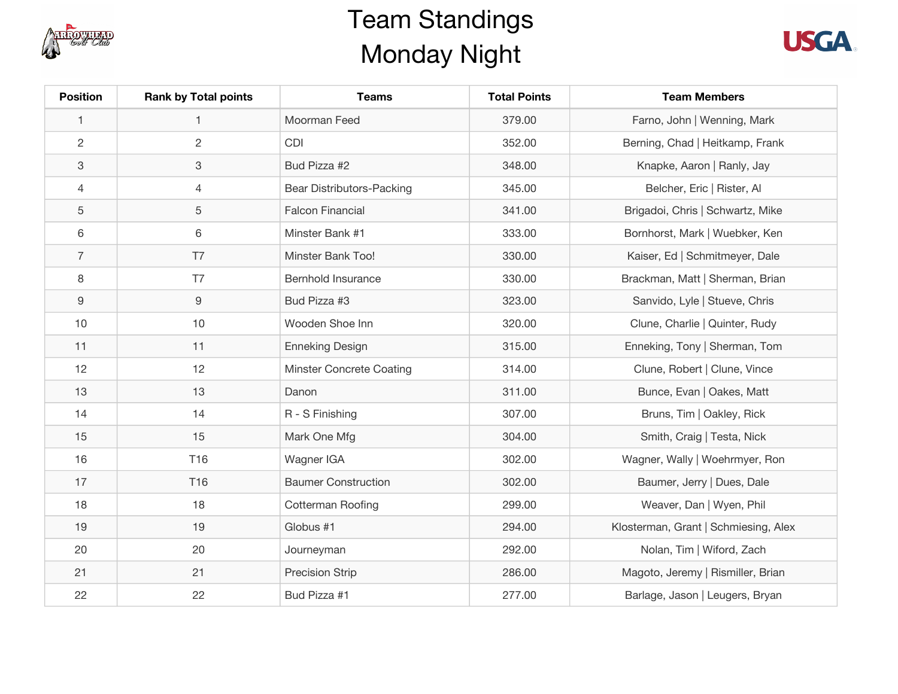

## Team Standings Monday Night



| <b>Position</b> | <b>Rank by Total points</b> | <b>Teams</b>               | <b>Total Points</b> | <b>Team Members</b>                  |
|-----------------|-----------------------------|----------------------------|---------------------|--------------------------------------|
| $\mathbf{1}$    | $\mathbf{1}$                | Moorman Feed               | 379.00              | Farno, John   Wenning, Mark          |
| $\overline{c}$  | $\overline{c}$              | <b>CDI</b>                 | 352.00              | Berning, Chad   Heitkamp, Frank      |
| 3               | 3                           | Bud Pizza #2               | 348.00              | Knapke, Aaron   Ranly, Jay           |
| $\overline{4}$  | $\overline{4}$              | Bear Distributors-Packing  | 345.00              | Belcher, Eric   Rister, Al           |
| 5               | 5                           | <b>Falcon Financial</b>    | 341.00              | Brigadoi, Chris   Schwartz, Mike     |
| 6               | 6                           | Minster Bank #1            | 333.00              | Bornhorst, Mark   Wuebker, Ken       |
| $\overline{7}$  | T7                          | Minster Bank Too!          | 330.00              | Kaiser, Ed   Schmitmeyer, Dale       |
| 8               | T7                          | <b>Bernhold Insurance</b>  | 330.00              | Brackman, Matt   Sherman, Brian      |
| 9               | 9                           | Bud Pizza #3               | 323.00              | Sanvido, Lyle   Stueve, Chris        |
| 10              | 10                          | Wooden Shoe Inn            | 320.00              | Clune, Charlie   Quinter, Rudy       |
| 11              | 11                          | <b>Enneking Design</b>     | 315.00              | Enneking, Tony   Sherman, Tom        |
| 12              | 12                          | Minster Concrete Coating   | 314.00              | Clune, Robert   Clune, Vince         |
| 13              | 13                          | Danon                      | 311.00              | Bunce, Evan   Oakes, Matt            |
| 14              | 14                          | R - S Finishing            | 307.00              | Bruns, Tim   Oakley, Rick            |
| 15              | 15                          | Mark One Mfg               | 304.00              | Smith, Craig   Testa, Nick           |
| 16              | T16                         | Wagner IGA                 | 302.00              | Wagner, Wally   Woehrmyer, Ron       |
| 17              | T16                         | <b>Baumer Construction</b> | 302.00              | Baumer, Jerry   Dues, Dale           |
| 18              | 18                          | Cotterman Roofing          | 299.00              | Weaver, Dan   Wyen, Phil             |
| 19              | 19                          | Globus #1                  | 294.00              | Klosterman, Grant   Schmiesing, Alex |
| 20              | 20                          | Journeyman                 | 292.00              | Nolan, Tim   Wiford, Zach            |
| 21              | 21                          | <b>Precision Strip</b>     | 286.00              | Magoto, Jeremy   Rismiller, Brian    |
| 22              | 22                          | Bud Pizza #1               | 277.00              | Barlage, Jason   Leugers, Bryan      |